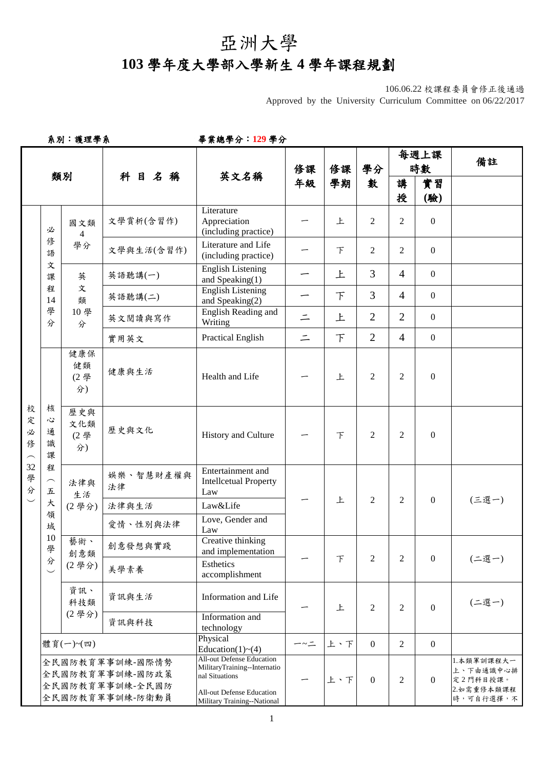## 亞洲大學

## **103** 學年度大學部入學新生 **4** 學年課程規劃

106.06.22 校課程委員會修正後通過 Approved by the University Curriculum Committee on 06/22/2017

系別:護理學系畢業總學分:**129** 學分

|                                             |                                             |                                                                         |                                                                          |                                                                                                                                                |             |        |                | 每週上課           |                  | 備註                                                             |
|---------------------------------------------|---------------------------------------------|-------------------------------------------------------------------------|--------------------------------------------------------------------------|------------------------------------------------------------------------------------------------------------------------------------------------|-------------|--------|----------------|----------------|------------------|----------------------------------------------------------------|
| 類別                                          |                                             |                                                                         | 科目名稱                                                                     | 英文名稱                                                                                                                                           | 修課          | 修課     | 學分             | 時數             |                  |                                                                |
|                                             |                                             |                                                                         |                                                                          |                                                                                                                                                | 年級          | 學期     | 數              | 講<br>授         | 實習<br>(驗)        |                                                                |
|                                             | 必                                           | 國文類<br>$\overline{4}$<br>學分                                             | 文學賞析(含習作)                                                                | Literature<br>Appreciation<br>(including practice)                                                                                             |             | 上      | 2              | 2              | $\overline{0}$   |                                                                |
|                                             | 俢<br>語                                      |                                                                         | 文學與生活(含習作)                                                               | Literature and Life<br>(including practice)                                                                                                    |             | F      | 2              | $\overline{2}$ | $\overline{0}$   |                                                                |
|                                             | 文<br>課                                      | 英                                                                       | 英語聽講(一)                                                                  | <b>English Listening</b><br>and Speaking $(1)$                                                                                                 |             | 上      | $\overline{3}$ | $\overline{4}$ | $\overline{0}$   |                                                                |
|                                             | 程<br>14                                     | 文<br>類                                                                  | 英語聽講(二)                                                                  | <b>English Listening</b><br>and Speaking(2)                                                                                                    |             | F      | 3              | $\overline{4}$ | $\overline{0}$   |                                                                |
|                                             | 學<br>分                                      | 10學<br>分                                                                | 英文閱讀與寫作                                                                  | English Reading and<br>Writing                                                                                                                 | $\equiv$    | 上      | $\overline{2}$ | $\overline{2}$ | $\overline{0}$   |                                                                |
|                                             |                                             |                                                                         | 實用英文                                                                     | <b>Practical English</b>                                                                                                                       | $\equiv$    | $\top$ | $\overline{2}$ | $\overline{4}$ | $\overline{0}$   |                                                                |
| 校<br>定<br>必<br>俢<br>$\widehat{\phantom{m}}$ | 核<br>心<br>通<br>識<br>課<br>程<br>$\frown$<br>五 | 健康保<br>健類<br>(2學<br>分)<br>歷史與<br>文化類<br>(2學<br>分)<br>法律與<br>生活<br>(2學分) | 健康與生活                                                                    | Health and Life                                                                                                                                |             | 上      | $\overline{c}$ | $\overline{2}$ | $\boldsymbol{0}$ |                                                                |
|                                             |                                             |                                                                         | 歷史與文化                                                                    | History and Culture                                                                                                                            |             | F      | $\overline{2}$ | 2              | $\boldsymbol{0}$ |                                                                |
| 32<br>學<br>分                                |                                             |                                                                         | 娱樂、智慧財產權與<br>法律                                                          | Entertainment and<br><b>Intellcetual Property</b><br>Law                                                                                       |             | 上      | $\overline{2}$ | $\overline{2}$ | $\overline{0}$   | (三選一)                                                          |
| $\overline{\phantom{0}}$                    | 大                                           |                                                                         | 法律與生活                                                                    | Law&Life                                                                                                                                       |             |        |                |                |                  |                                                                |
|                                             | 領<br>域                                      |                                                                         | 愛情、性別與法律                                                                 | Love, Gender and<br>Law                                                                                                                        |             |        |                |                |                  |                                                                |
|                                             | $10\,$<br>學                                 | 藝術、<br>創意類<br>(2學分)                                                     | 創意發想與實踐                                                                  | Creative thinking<br>and implementation                                                                                                        |             | $\top$ | 2              | $\overline{2}$ | $\overline{0}$   | (二選一)                                                          |
|                                             | 分<br>$\smile$                               |                                                                         | 美學素養                                                                     | Esthetics<br>accomplishment                                                                                                                    |             |        |                |                |                  |                                                                |
|                                             |                                             | 資訊、<br>科技類                                                              | 資訊與生活                                                                    | Information and Life                                                                                                                           |             | 上      | $\overline{2}$ | $\overline{2}$ | $\Omega$         | (二選一)                                                          |
|                                             |                                             | (2學分)                                                                   | 資訊與科技                                                                    | Information and<br>technology                                                                                                                  |             |        |                |                |                  |                                                                |
|                                             |                                             | 體育(一)~(四)                                                               |                                                                          | Physical<br>Education(1) $\sim$ (4)                                                                                                            | $-\sim$ $-$ | 上、下    | $\mathbf{0}$   | $\overline{2}$ | $\overline{0}$   |                                                                |
|                                             |                                             |                                                                         | 全民國防教育軍事訓練-國際情勢<br>全民國防教育軍事訓練-國防政策<br>全民國防教育軍事訓練-全民國防<br>全民國防教育軍事訓練-防衛動員 | <b>All-out Defense Education</b><br>MilitaryTraining--Internatio<br>nal Situations<br>All-out Defense Education<br>Military Training--National |             | 上、下    | $\overline{0}$ | $\overline{2}$ | $\Omega$         | 1.本類軍訓課程大一<br>上、下由通識中心排<br>定2門科目授課。<br>2.如需重修本類課程<br>時,可自行選擇,不 |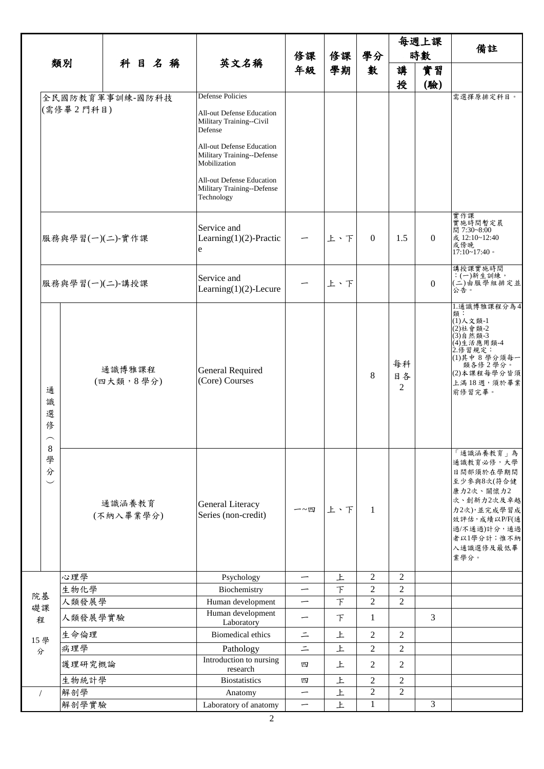| 類別         |                                                                              |                     |  |                                    |  |                                                                                                      | 修課                       | 修課            | 學分               | 每週上課<br>時數                                                                                                                                         |          | 備註                                                                                                                                                            |
|------------|------------------------------------------------------------------------------|---------------------|--|------------------------------------|--|------------------------------------------------------------------------------------------------------|--------------------------|---------------|------------------|----------------------------------------------------------------------------------------------------------------------------------------------------|----------|---------------------------------------------------------------------------------------------------------------------------------------------------------------|
|            |                                                                              |                     |  |                                    |  |                                                                                                      |                          |               |                  |                                                                                                                                                    |          |                                                                                                                                                               |
|            |                                                                              |                     |  | 科目名稱                               |  | 英文名稱                                                                                                 | 年級                       | 學期            | 數                | 講                                                                                                                                                  | 實習       |                                                                                                                                                               |
|            |                                                                              | 全民國防教育軍事訓練-國防科技     |  |                                    |  | <b>Defense Policies</b>                                                                              |                          |               |                  | 授                                                                                                                                                  | (驗)      | 需選擇原排定科目。                                                                                                                                                     |
|            |                                                                              | (需修畢2門科目)           |  |                                    |  | <b>All-out Defense Education</b><br>Military Training--Civil<br>Defense<br>All-out Defense Education |                          |               |                  |                                                                                                                                                    |          |                                                                                                                                                               |
|            |                                                                              |                     |  |                                    |  | Military Training--Defense<br>Mobilization                                                           |                          |               |                  |                                                                                                                                                    |          |                                                                                                                                                               |
|            |                                                                              |                     |  |                                    |  | All-out Defense Education<br>Military Training--Defense<br>Technology                                |                          |               |                  |                                                                                                                                                    |          |                                                                                                                                                               |
|            |                                                                              | 服務與學習(一)(二)-實作課     |  |                                    |  | Service and<br>Learning $(1)(2)$ -Practic<br>e                                                       |                          | 上、下           | $\boldsymbol{0}$ | 1.5                                                                                                                                                | $\theta$ | 實作課<br>實施時間暫定晨<br>間 7:30~8:00<br>或 12:10~12:40<br>或傍晚<br>$17:10-17:40$                                                                                        |
|            |                                                                              | 服務與學習(一)(二)-講授課     |  |                                    |  | Service and<br>Learning $(1)(2)$ -Lecure                                                             |                          | 上、下           |                  |                                                                                                                                                    | $\Omega$ | 講授課實施時間<br>:(一)新生訓練,<br>(二)由服學組排定並<br>公告。                                                                                                                     |
|            | 通<br>識<br>選<br>俢<br>$\widehat{\phantom{m}}$<br>$\,8\,$<br>學<br>分<br>$\smile$ | 通識博雅課程<br>(四大類,8學分) |  | General Required<br>(Core) Courses |  |                                                                                                      | 8                        | 每科<br>目各<br>2 |                  | 1. 通識博雅課程分為4<br>類:<br>(1) 人文類-1<br>(2)社會類-2<br>(3)自然類-3<br>(4)生活應用類-4<br>2. 修習規定:<br>(1)其中8學分須每一<br>類各修2學分。<br>(2)本課程每學分皆須<br>上滿18週,須於畢業<br>前修習完畢。 |          |                                                                                                                                                               |
|            |                                                                              | 通識涵養教育<br>(不納入畢業學分) |  |                                    |  | General Literacy<br>Series (non-credit)                                                              | 一~四                      | 上、下           | $\mathbf{1}$     |                                                                                                                                                    |          | 「通識涵養教育」為<br>通識教育必修,大學<br>日間部須於在學期間<br>至少参與8次(符合健<br>康力2次、關懷力2<br>次、創新力2次及卓越<br>力2次),並完成學習成<br>效評估,成績以P/F(通<br>過/不通過)計分,通過<br>者以1學分計;惟不納<br>入通識選修及最低畢<br>業學分。 |
|            |                                                                              | 心理學                 |  |                                    |  | Psychology                                                                                           |                          | 上             | $\overline{c}$   | $\overline{c}$                                                                                                                                     |          |                                                                                                                                                               |
| 院基         |                                                                              | 生物化學                |  |                                    |  | Biochemistry                                                                                         | $\overline{\phantom{0}}$ | $\top$        | $\overline{c}$   | $\overline{c}$                                                                                                                                     |          |                                                                                                                                                               |
| 礎課         |                                                                              | 人類發展學               |  |                                    |  | Human development<br>Human development                                                               | $\overline{\phantom{0}}$ | $\bar{T}$     | $\overline{c}$   | $\overline{c}$                                                                                                                                     |          |                                                                                                                                                               |
| 程          |                                                                              | 人類發展學實驗             |  |                                    |  | Laboratory                                                                                           | $\overline{\phantom{0}}$ | $\top$        | $\mathbf{1}$     |                                                                                                                                                    | 3        |                                                                                                                                                               |
| 15學<br>分   |                                                                              | 生命倫理                |  |                                    |  | <b>Biomedical ethics</b>                                                                             | $=$                      | 上             | $\overline{2}$   | $\mathbf{2}$                                                                                                                                       |          |                                                                                                                                                               |
|            |                                                                              | 病理學                 |  |                                    |  | Pathology                                                                                            | $\equiv$                 | 上             | $\overline{c}$   | $\overline{2}$                                                                                                                                     |          |                                                                                                                                                               |
|            |                                                                              | 護理研究概論              |  |                                    |  | Introduction to nursing<br>research                                                                  | 四                        | 上             | $\overline{2}$   | $\overline{c}$                                                                                                                                     |          |                                                                                                                                                               |
|            |                                                                              | 生物統計學               |  |                                    |  | <b>Biostatistics</b>                                                                                 | 四                        | 上             | $\overline{2}$   | $\overline{2}$                                                                                                                                     |          |                                                                                                                                                               |
| $\sqrt{2}$ |                                                                              | 解剖學                 |  |                                    |  | Anatomy                                                                                              | $\overline{\phantom{0}}$ | 上             | $\overline{c}$   | $\overline{2}$                                                                                                                                     |          |                                                                                                                                                               |
|            |                                                                              | 解剖學實驗               |  |                                    |  | Laboratory of anatomy                                                                                | $\overline{\phantom{0}}$ | 上             | $\mathbf{1}$     |                                                                                                                                                    | 3        |                                                                                                                                                               |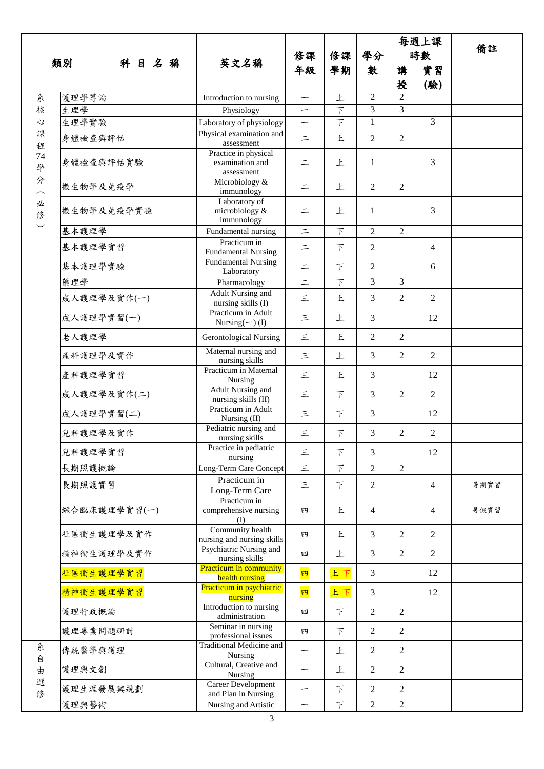|                    |            |              |                                                       | 修課       | 修課     | 學分             |                | 每週上課           |      |
|--------------------|------------|--------------|-------------------------------------------------------|----------|--------|----------------|----------------|----------------|------|
|                    |            |              |                                                       |          |        |                | 時數             |                | 備註   |
| 類別                 |            | 科目名稱         | 英文名稱                                                  | 年級       | 學期     | 數              | 講              | 實習             |      |
|                    |            |              |                                                       |          |        |                | 授              | (驗)            |      |
| 糸                  | 護理學導論      |              | Introduction to nursing                               | —        | 上      | 2              | $\overline{2}$ |                |      |
| 核                  | 生理學        |              | Physiology                                            |          | $\top$ | 3              | 3              |                |      |
| 心                  | 生理學實驗      |              | Laboratory of physiology                              | -        | $\top$ | 1              |                | 3              |      |
| 課<br>程             | 身體檢查與評估    |              | Physical examination and<br>assessment                | $\equiv$ | 上      | 2              | $\overline{2}$ |                |      |
| 74<br>學            | 身體檢查與評估實驗  |              | Practice in physical<br>examination and<br>assessment | $\equiv$ | 上      | 1              |                | 3              |      |
| 分                  | 微生物學及免疫學   |              | Microbiology &<br>immunology                          | $\equiv$ | 上      | $\overline{2}$ | $\overline{2}$ |                |      |
| 必<br>俢<br>$\smile$ |            | 微生物學及免疫學實驗   | Laboratory of<br>microbiology &<br>immunology         | $\equiv$ | 上      | 1              |                | 3              |      |
|                    | 基本護理學      |              | Fundamental nursing                                   | $\equiv$ | $\top$ | $\overline{2}$ | $\overline{2}$ |                |      |
|                    | 基本護理學實習    |              | Practicum in<br><b>Fundamental Nursing</b>            | $\equiv$ | $\top$ | 2              |                | $\overline{4}$ |      |
|                    | 基本護理學實驗    |              | <b>Fundamental Nursing</b><br>Laboratory              | $\equiv$ | $\top$ | 2              |                | 6              |      |
|                    | 藥理學        |              | Pharmacology                                          | $\equiv$ | $\top$ | 3              | 3              |                |      |
|                    |            | 成人護理學及實作(一)  | <b>Adult Nursing and</b><br>nursing skills (I)        | $\equiv$ | 上      | 3              | 2              | $\overline{2}$ |      |
|                    | 成人護理學實習(一) |              | Practicum in Adult<br>Nursing $(-)$ (I)               | 三        | 上      | 3              |                | 12             |      |
|                    | 老人護理學      |              | <b>Gerontological Nursing</b>                         | 三        | 上      | 2              | 2              |                |      |
|                    | 產科護理學及實作   |              | Maternal nursing and<br>nursing skills                | 三        | 上      | 3              | $\overline{2}$ | $\overline{2}$ |      |
|                    | 產科護理學實習    |              | Practicum in Maternal<br>Nursing                      | 三        | 上      | 3              |                | 12             |      |
|                    |            | 成人護理學及實作(二)  | Adult Nursing and<br>nursing skills (II)              | 三        | $\top$ | 3              | $\overline{2}$ | $\overline{2}$ |      |
|                    | 成人護理學實習(二) |              | Practicum in Adult<br>Nursing $(II)$                  | 三        | $\top$ | 3              |                | 12             |      |
|                    | 兒科護理學及實作   |              | Pediatric nursing and<br>nursing skills               | 三        | F      | 3              | 2              | $\overline{c}$ |      |
|                    | 兒科護理學實習    |              | Practice in pediatric<br>nursing                      | 三        | $\top$ | 3              |                | 12             |      |
|                    | 長期照護概論     |              | Long-Term Care Concept                                | $\equiv$ | F      | $\overline{c}$ | $\overline{c}$ |                |      |
|                    | 長期照護實習     |              | Practicum in<br>Long-Term Care                        | 三        | $\top$ | $\overline{c}$ |                | $\overline{4}$ | 暑期實習 |
|                    |            | 綜合臨床護理學實習(一) | Practicum in<br>comprehensive nursing<br>(I)          | 四        | 上      | 4              |                | $\overline{4}$ | 暑假實習 |
|                    |            | 社區衛生護理學及實作   | Community health<br>nursing and nursing skills        | 四        | 上      | 3              | $\overline{2}$ | $\overline{2}$ |      |
|                    |            | 精神衛生護理學及實作   | Psychiatric Nursing and<br>nursing skills             | 四        | 上      | 3              | $\overline{2}$ | $\overline{2}$ |      |
|                    | 社區衛生護理學實習  |              | <b>Practicum in community</b><br>health nursing       | 四        | ±T     | 3              |                | 12             |      |
|                    | 精神衛生護理學實習  |              | Practicum in psychiatric<br>nursing                   | 四        | 士下     | 3              |                | 12             |      |
|                    | 護理行政概論     |              | Introduction to nursing<br>administration             | 四        | F      | $\overline{2}$ | $\overline{2}$ |                |      |
|                    | 護理專業問題研討   |              | Seminar in nursing<br>professional issues             | 四        | F      | $\overline{2}$ | $\overline{2}$ |                |      |
| 系<br>自             | 傳統醫學與護理    |              | <b>Traditional Medicine and</b><br>Nursing            | -        | 上      | $\overline{2}$ | $\overline{c}$ |                |      |
| 由                  | 護理與文創      |              | Cultural, Creative and<br>Nursing                     | —        | 上      | $\overline{2}$ | $\overline{c}$ |                |      |
| 選<br>俢             | 護理生涯發展與規劃  |              | Career Development<br>and Plan in Nursing             | —        | F      | 2              | $\overline{c}$ |                |      |
|                    | 護理與藝術      |              | Nursing and Artistic                                  | —        | $\top$ | $\overline{2}$ | $\overline{2}$ |                |      |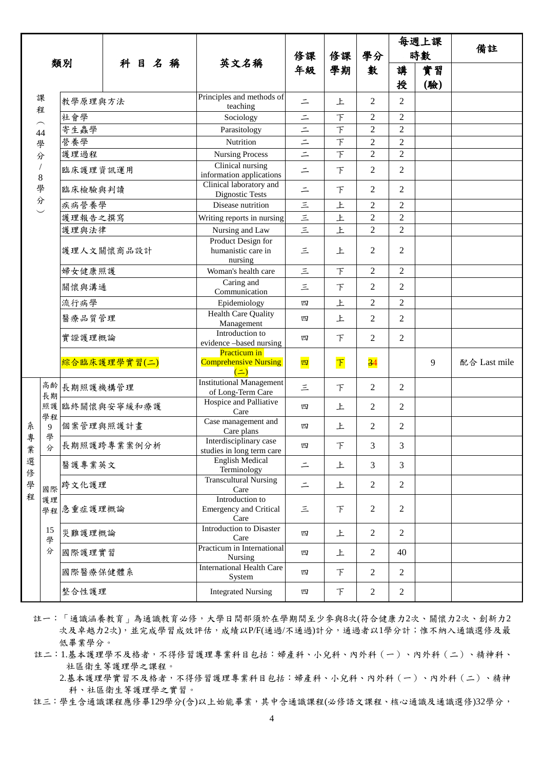| 類別                                           |          |           | 科目名稱         | 英文名稱                                                     | 修課<br>年級      | 修課<br>學期                | 學分<br>數         | 每週上課<br>時數     |    | 備註           |
|----------------------------------------------|----------|-----------|--------------|----------------------------------------------------------|---------------|-------------------------|-----------------|----------------|----|--------------|
|                                              |          |           |              |                                                          |               |                         |                 | 講              | 實習 |              |
|                                              |          |           |              |                                                          |               |                         | 授               | (驗)            |    |              |
|                                              | 課        | 教學原理與方法   |              | Principles and methods of<br>teaching                    | $\equiv$      | 上                       | 2               | 2              |    |              |
| 程<br>$\widehat{\phantom{m}}$<br>44<br>學<br>分 |          | 社會學       |              | Sociology                                                | $=$           | 下                       | 2               | $\mathfrak{2}$ |    |              |
|                                              |          | 寄生蟲學      |              | Parasitology                                             | $\equiv$      | $\top$                  | $\overline{2}$  | $\overline{2}$ |    |              |
|                                              |          | 營養學       |              | Nutrition                                                | $=$           | $\top$                  | $\overline{c}$  | $\overline{c}$ |    |              |
|                                              |          | 護理過程      |              | <b>Nursing Process</b>                                   | $\equiv$      | $\top$                  | $\overline{c}$  | $\overline{2}$ |    |              |
|                                              | $\,8$    | 臨床護理資訊運用  |              | Clinical nursing<br>information applications             | $\equiv$      | F                       | 2               | $\overline{2}$ |    |              |
|                                              | 學        | 臨床檢驗與判讀   |              | Clinical laboratory and<br><b>Dignostic Tests</b>        | $\equiv$      | $\top$                  | 2               | $\overline{2}$ |    |              |
|                                              | 分        | 疾病營養學     |              | Disease nutrition                                        | $\leq$        | 上                       | $\overline{2}$  | $\overline{c}$ |    |              |
|                                              |          | 護理報告之撰寫   |              | Writing reports in nursing                               | $\frac{1}{2}$ | 上                       | $\overline{c}$  | $\overline{2}$ |    |              |
|                                              |          | 護理與法律     |              | Nursing and Law                                          |               | $\overline{\mathbf{r}}$ | $\overline{2}$  | $\overline{2}$ |    |              |
|                                              |          |           | 護理人文關懷商品設計   | Product Design for<br>humanistic care in<br>nursing      | 三             | 上                       | $\overline{2}$  | $\overline{2}$ |    |              |
|                                              |          | 婦女健康照護    |              | Woman's health care                                      | $\equiv$      | $\top$                  | $\overline{2}$  | $\overline{2}$ |    |              |
|                                              |          | 關懷與溝通     |              | Caring and<br>Communication                              | 三             | $\top$                  | 2               | $\overline{c}$ |    |              |
|                                              |          | 流行病學      |              | Epidemiology                                             | 四             | 上                       | $\overline{c}$  | $\mathfrak{2}$ |    |              |
|                                              |          | 醫療品質管理    |              | <b>Health Care Quality</b><br>Management                 | 四             | 上                       | 2               | $\overline{2}$ |    |              |
|                                              |          | 實證護理概論    |              | Introduction to<br>evidence -based nursing               | 四             | $\top$                  | $\overline{2}$  | $\overline{2}$ |    |              |
|                                              |          |           | 綜合臨床護理學實習(二) | Practicum in<br><b>Comprehensive Nursing</b><br>$($ =    | 四             | $\boxed{\mathsf{T}}$    | $\overline{34}$ |                | 9  | 配合 Last mile |
|                                              | 高齢<br>長期 | 長期照護機構管理  |              | <b>Institutional Management</b><br>of Long-Term Care     | 三             | $\top$                  | $\overline{2}$  | $\overline{2}$ |    |              |
|                                              | 照護<br>學程 |           | 臨終關懷與安寧緩和療護  | Hospice and Palliative<br>Care                           | 四             | 上                       | $\overline{2}$  | 2              |    |              |
| 糸<br>專                                       | 9<br>學   | 個案管理與照護計畫 |              | Case management and<br>Care plans                        | 四             | 上                       | $\overline{2}$  | $\overline{2}$ |    |              |
| 業                                            | 分        |           | 長期照護跨專業案例分析  | Interdisciplinary case<br>studies in long term care      | 四             | 下                       | 3               | 3              |    |              |
| 選<br>俢<br>學<br>程                             |          | 醫護專業英文    |              | <b>English Medical</b><br>Terminology                    | $\equiv$      | 上                       | 3               | 3              |    |              |
|                                              | 國際       | 跨文化護理     |              | <b>Transcultural Nursing</b><br>Care                     | $\equiv$      | 上                       | 2               | $\overline{2}$ |    |              |
|                                              | 護理<br>學程 | 急重症護理概論   |              | Introduction to<br><b>Emergency and Critical</b><br>Care | Ξ             | $\top$                  | 2               | $\overline{2}$ |    |              |
|                                              | 15<br>學  | 災難護理概論    |              | Introduction to Disaster<br>Care                         | 四             | 上                       | $\overline{2}$  | $\overline{2}$ |    |              |
|                                              | 分        | 國際護理實習    |              | Practicum in International<br>Nursing                    | 四             | 上                       | $\overline{2}$  | 40             |    |              |
|                                              |          | 國際醫療保健體系  |              | <b>International Health Care</b><br>System               | 四             | $\top$                  | $\overline{2}$  | $\overline{2}$ |    |              |
|                                              |          | 整合性護理     |              | <b>Integrated Nursing</b>                                | 四             | 下                       | $\sqrt{2}$      | $\overline{2}$ |    |              |

註一:「通識涵養教育」為通識教育必修,大學日間部須於在學期間至少參與8次(符合健康力2次、關懷力2次、創新力2 次及卓越力2次),並完成學習成效評估,成績以P/F(通過/不通過)計分,通過者以1學分計;惟不納入通識選修及最 低畢業學分。

註二:1.基本護理學不及格者,不得修習護理專業科目包括:婦產科、小兒科、內外科(一)、內外科(二)、精神科、 社區衛生等護理學之課程。

2.基本護理學實習不及格者,不得修習護理專業科目包括:婦產科、小兒科、內外科(一)、內外科(二)、精神 科、社區衛生等護理學之實習。

註三:學生含通識課程應修畢129學分(含)以上始能畢業,其中含通識課程(必修語文課程、核心通識及通識選修)32學分,